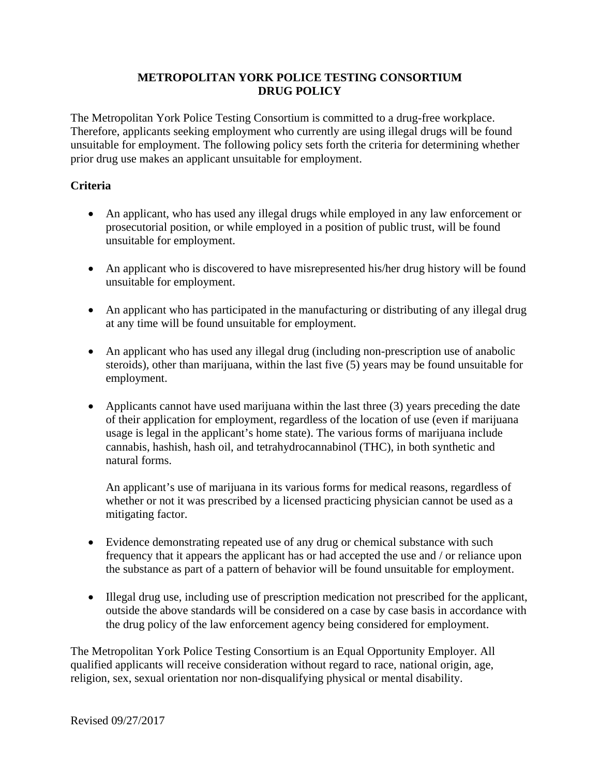# **METROPOLITAN YORK POLICE TESTING CONSORTIUM DRUG POLICY**

The Metropolitan York Police Testing Consortium is committed to a drug-free workplace. Therefore, applicants seeking employment who currently are using illegal drugs will be found unsuitable for employment. The following policy sets forth the criteria for determining whether prior drug use makes an applicant unsuitable for employment.

# **Criteria**

- An applicant, who has used any illegal drugs while employed in any law enforcement or prosecutorial position, or while employed in a position of public trust, will be found unsuitable for employment.
- An applicant who is discovered to have misrepresented his/her drug history will be found unsuitable for employment.
- An applicant who has participated in the manufacturing or distributing of any illegal drug at any time will be found unsuitable for employment.
- An applicant who has used any illegal drug (including non-prescription use of anabolic steroids), other than marijuana, within the last five (5) years may be found unsuitable for employment.
- Applicants cannot have used marijuana within the last three  $(3)$  years preceding the date of their application for employment, regardless of the location of use (even if marijuana usage is legal in the applicant's home state). The various forms of marijuana include cannabis, hashish, hash oil, and tetrahydrocannabinol (THC), in both synthetic and natural forms.

An applicant's use of marijuana in its various forms for medical reasons, regardless of whether or not it was prescribed by a licensed practicing physician cannot be used as a mitigating factor.

- Evidence demonstrating repeated use of any drug or chemical substance with such frequency that it appears the applicant has or had accepted the use and / or reliance upon the substance as part of a pattern of behavior will be found unsuitable for employment.
- Illegal drug use, including use of prescription medication not prescribed for the applicant, outside the above standards will be considered on a case by case basis in accordance with the drug policy of the law enforcement agency being considered for employment.

The Metropolitan York Police Testing Consortium is an Equal Opportunity Employer. All qualified applicants will receive consideration without regard to race, national origin, age, religion, sex, sexual orientation nor non-disqualifying physical or mental disability.